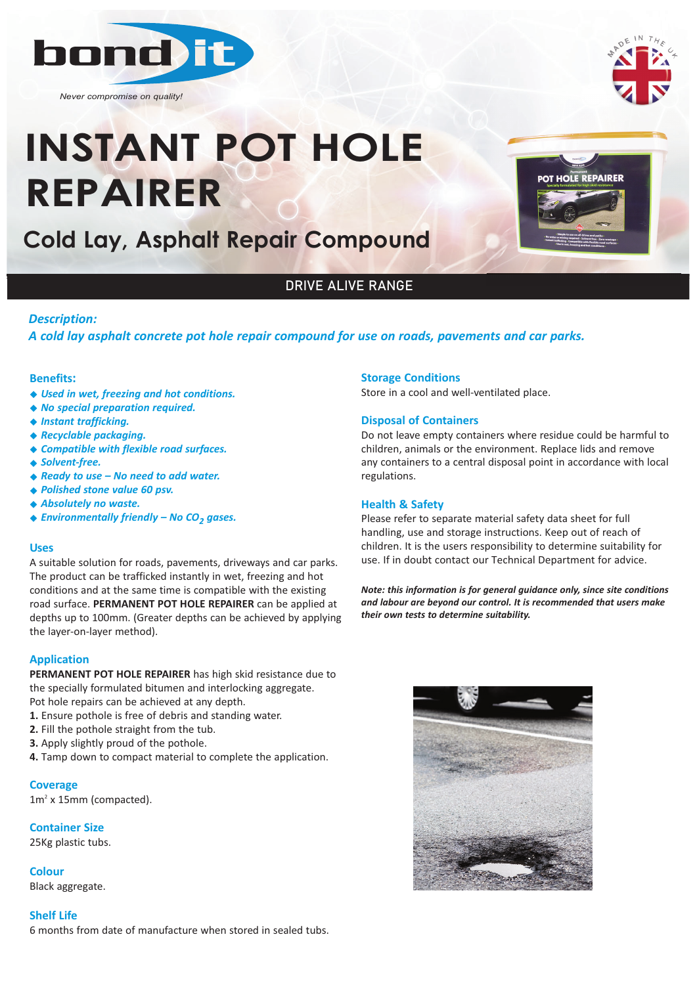

*Never compromise on quality!*

# **INSTANT POT HOLE REPAIRER**

**Cold Lay, Asphalt Repair Compound**



### DRIVE ALIVE RANGE

#### *Description:*

*A cold lay asphalt concrete pot hole repair compound for use on roads, pavements and car parks.*

#### **Benefits:**

- ◆ Used in wet, freezing and hot conditions.
- <sup>u</sup> *No special preparation required.*
- ◆ *Instant trafficking.*
- ◆ *Recyclable packaging.*
- <sup>u</sup> *Compatible with flexible road surfaces.*
- ◆ Solvent-free.
- ◆ Ready to use No need to add water.
- ◆ *Polished stone value 60 psv.*
- <sup>u</sup> *Absolutely no waste.*
- ◆ Environmentally friendly No CO<sub>2</sub> gases.

#### **Uses**

A suitable solution for roads, pavements, driveways and car parks. The product can be trafficked instantly in wet, freezing and hot conditions and at the same time is compatible with the existing road surface. **PERMANENT POT HOLE REPAIRER** can be applied at depths up to 100mm. (Greater depths can be achieved by applying the layer-on-layer method).

#### **Application**

**PERMANENT POT HOLE REPAIRER** has high skid resistance due to the specially formulated bitumen and interlocking aggregate. Pot hole repairs can be achieved at any depth.

- **1.** Ensure pothole is free of debris and standing water.
- **2.** Fill the pothole straight from the tub.
- **3.** Apply slightly proud of the pothole.
- **4.** Tamp down to compact material to complete the application.

#### **Coverage**

 $1m<sup>2</sup>$  x 15mm (compacted).

#### **Container Size**

25Kg plastic tubs.

**Colour**

Black aggregate.

#### **Shelf Life**

6 months from date of manufacture when stored in sealed tubs.

#### **Storage Conditions**

Store in a cool and well-ventilated place.

#### **Disposal of Containers**

Do not leave empty containers where residue could be harmful to children, animals or the environment. Replace lids and remove any containers to a central disposal point in accordance with local regulations.

#### **Health & Safety**

Please refer to separate material safety data sheet for full handling, use and storage instructions. Keep out of reach of children. It is the users responsibility to determine suitability for use. If in doubt contact our Technical Department for advice.

*Note: this information is for general guidance only, since site conditions and labour are beyond our control. It is recommended that users make their own tests to determine suitability.*